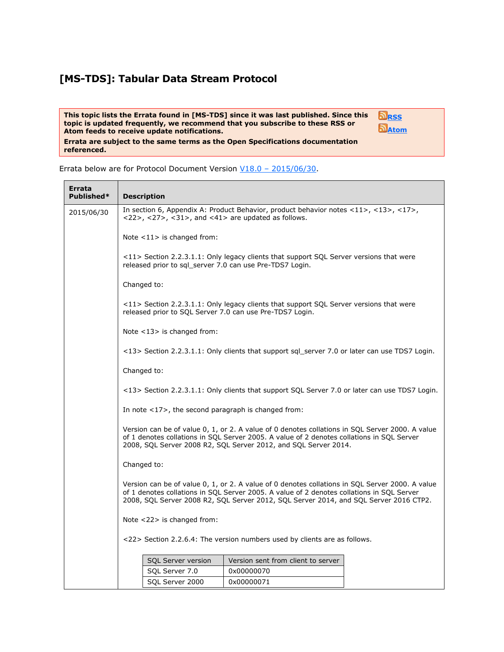## **[MS-TDS]: Tabular Data Stream Protocol**

**referenced.**

<u> Tanzania (h. 1888).</u>

**This topic lists the Errata found in [MS-TDS] since it was last published. Since this topic is updated frequently, we recommend that you subscribe to these RSS or Atom feeds to receive update notifications. Errata are subject to the same terms as the Open Specifications documentation** 



Errata below are for Protocol Document Version V18.0 – [2015/06/30.](http://go.microsoft.com/fwlink/?LinkId=511321)

| Errata<br>Published* | <b>Description</b>                                                                                                                                                                                                                                                                    |  |  |  |  |  |
|----------------------|---------------------------------------------------------------------------------------------------------------------------------------------------------------------------------------------------------------------------------------------------------------------------------------|--|--|--|--|--|
| 2015/06/30           | In section 6, Appendix A: Product Behavior, product behavior notes <11>, <13>, <17>, <17>,<br><22>, <27>, <31>, and <41> are updated as follows.                                                                                                                                      |  |  |  |  |  |
|                      | Note $<$ 11 $>$ is changed from:                                                                                                                                                                                                                                                      |  |  |  |  |  |
|                      | $\langle 11 \rangle$ Section 2.2.3.1.1: Only legacy clients that support SQL Server versions that were<br>released prior to sql server 7.0 can use Pre-TDS7 Login.                                                                                                                    |  |  |  |  |  |
|                      | Changed to:                                                                                                                                                                                                                                                                           |  |  |  |  |  |
|                      | <11> Section 2.2.3.1.1: Only legacy clients that support SQL Server versions that were<br>released prior to SQL Server 7.0 can use Pre-TDS7 Login.                                                                                                                                    |  |  |  |  |  |
|                      | Note <13> is changed from:                                                                                                                                                                                                                                                            |  |  |  |  |  |
|                      | <13> Section 2.2.3.1.1: Only clients that support sql_server 7.0 or later can use TDS7 Login.                                                                                                                                                                                         |  |  |  |  |  |
|                      | Changed to:                                                                                                                                                                                                                                                                           |  |  |  |  |  |
|                      | <13> Section 2.2.3.1.1: Only clients that support SQL Server 7.0 or later can use TDS7 Login.                                                                                                                                                                                         |  |  |  |  |  |
|                      | In note $\langle 17 \rangle$ , the second paragraph is changed from:                                                                                                                                                                                                                  |  |  |  |  |  |
|                      | Version can be of value 0, 1, or 2. A value of 0 denotes collations in SQL Server 2000. A value<br>of 1 denotes collations in SQL Server 2005. A value of 2 denotes collations in SQL Server<br>2008, SQL Server 2008 R2, SQL Server 2012, and SQL Server 2014.                       |  |  |  |  |  |
|                      | Changed to:                                                                                                                                                                                                                                                                           |  |  |  |  |  |
|                      | Version can be of value 0, 1, or 2. A value of 0 denotes collations in SQL Server 2000. A value<br>of 1 denotes collations in SQL Server 2005. A value of 2 denotes collations in SQL Server<br>2008, SQL Server 2008 R2, SQL Server 2012, SQL Server 2014, and SQL Server 2016 CTP2. |  |  |  |  |  |
|                      | Note $<$ 22 $>$ is changed from:                                                                                                                                                                                                                                                      |  |  |  |  |  |
|                      | <22> Section 2.2.6.4: The version numbers used by clients are as follows.                                                                                                                                                                                                             |  |  |  |  |  |
|                      | Version sent from client to server<br>SQL Server version                                                                                                                                                                                                                              |  |  |  |  |  |
|                      | SQL Server 7.0<br>0x00000070                                                                                                                                                                                                                                                          |  |  |  |  |  |
|                      | SQL Server 2000<br>0x00000071                                                                                                                                                                                                                                                         |  |  |  |  |  |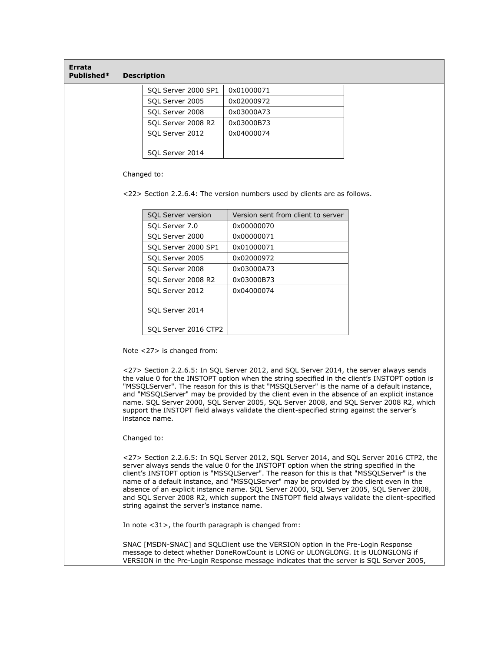| Errata<br>Published* | <b>Description</b>                                                                                                                                                                                                                                                                                                                                                                                                                                                                                                                                                                                                     |                                                                                                                                                                                                                                                               |  |  |  |
|----------------------|------------------------------------------------------------------------------------------------------------------------------------------------------------------------------------------------------------------------------------------------------------------------------------------------------------------------------------------------------------------------------------------------------------------------------------------------------------------------------------------------------------------------------------------------------------------------------------------------------------------------|---------------------------------------------------------------------------------------------------------------------------------------------------------------------------------------------------------------------------------------------------------------|--|--|--|
|                      | SQL Server 2000 SP1                                                                                                                                                                                                                                                                                                                                                                                                                                                                                                                                                                                                    | 0x01000071                                                                                                                                                                                                                                                    |  |  |  |
|                      | SQL Server 2005                                                                                                                                                                                                                                                                                                                                                                                                                                                                                                                                                                                                        | 0x02000972                                                                                                                                                                                                                                                    |  |  |  |
|                      | SQL Server 2008                                                                                                                                                                                                                                                                                                                                                                                                                                                                                                                                                                                                        | 0x03000A73                                                                                                                                                                                                                                                    |  |  |  |
|                      | SQL Server 2008 R2                                                                                                                                                                                                                                                                                                                                                                                                                                                                                                                                                                                                     | 0x03000B73                                                                                                                                                                                                                                                    |  |  |  |
|                      | SQL Server 2012                                                                                                                                                                                                                                                                                                                                                                                                                                                                                                                                                                                                        | 0x04000074                                                                                                                                                                                                                                                    |  |  |  |
|                      | SQL Server 2014                                                                                                                                                                                                                                                                                                                                                                                                                                                                                                                                                                                                        |                                                                                                                                                                                                                                                               |  |  |  |
|                      | Changed to:                                                                                                                                                                                                                                                                                                                                                                                                                                                                                                                                                                                                            |                                                                                                                                                                                                                                                               |  |  |  |
|                      |                                                                                                                                                                                                                                                                                                                                                                                                                                                                                                                                                                                                                        | <22> Section 2.2.6.4: The version numbers used by clients are as follows.                                                                                                                                                                                     |  |  |  |
|                      | SQL Server version                                                                                                                                                                                                                                                                                                                                                                                                                                                                                                                                                                                                     | Version sent from client to server                                                                                                                                                                                                                            |  |  |  |
|                      | SQL Server 7.0                                                                                                                                                                                                                                                                                                                                                                                                                                                                                                                                                                                                         | 0x00000070                                                                                                                                                                                                                                                    |  |  |  |
|                      | SQL Server 2000                                                                                                                                                                                                                                                                                                                                                                                                                                                                                                                                                                                                        | 0x00000071                                                                                                                                                                                                                                                    |  |  |  |
|                      | SQL Server 2000 SP1                                                                                                                                                                                                                                                                                                                                                                                                                                                                                                                                                                                                    | 0x01000071                                                                                                                                                                                                                                                    |  |  |  |
|                      | SQL Server 2005                                                                                                                                                                                                                                                                                                                                                                                                                                                                                                                                                                                                        | 0x02000972                                                                                                                                                                                                                                                    |  |  |  |
|                      | SQL Server 2008                                                                                                                                                                                                                                                                                                                                                                                                                                                                                                                                                                                                        | 0x03000A73                                                                                                                                                                                                                                                    |  |  |  |
|                      | SQL Server 2008 R2                                                                                                                                                                                                                                                                                                                                                                                                                                                                                                                                                                                                     | 0x03000B73                                                                                                                                                                                                                                                    |  |  |  |
|                      | SQL Server 2012                                                                                                                                                                                                                                                                                                                                                                                                                                                                                                                                                                                                        | 0x04000074                                                                                                                                                                                                                                                    |  |  |  |
|                      | SQL Server 2014                                                                                                                                                                                                                                                                                                                                                                                                                                                                                                                                                                                                        |                                                                                                                                                                                                                                                               |  |  |  |
|                      | SQL Server 2016 CTP2                                                                                                                                                                                                                                                                                                                                                                                                                                                                                                                                                                                                   |                                                                                                                                                                                                                                                               |  |  |  |
|                      | Note $<$ 27 $>$ is changed from:                                                                                                                                                                                                                                                                                                                                                                                                                                                                                                                                                                                       |                                                                                                                                                                                                                                                               |  |  |  |
|                      | <27> Section 2.2.6.5: In SQL Server 2012, and SQL Server 2014, the server always sends<br>the value 0 for the INSTOPT option when the string specified in the client's INSTOPT option is<br>"MSSQLServer". The reason for this is that "MSSQLServer" is the name of a default instance,<br>and "MSSQLServer" may be provided by the client even in the absence of an explicit instance<br>name. SQL Server 2000, SQL Server 2005, SQL Server 2008, and SQL Server 2008 R2, which<br>support the INSTOPT field always validate the client-specified string against the server's<br>instance name.                       |                                                                                                                                                                                                                                                               |  |  |  |
|                      | Changed to:                                                                                                                                                                                                                                                                                                                                                                                                                                                                                                                                                                                                            |                                                                                                                                                                                                                                                               |  |  |  |
|                      | <27> Section 2.2.6.5: In SQL Server 2012, SQL Server 2014, and SQL Server 2016 CTP2, the<br>server always sends the value 0 for the INSTOPT option when the string specified in the<br>client's INSTOPT option is "MSSQLServer". The reason for this is that "MSSQLServer" is the<br>name of a default instance, and "MSSQLServer" may be provided by the client even in the<br>absence of an explicit instance name. SQL Server 2000, SQL Server 2005, SQL Server 2008,<br>and SQL Server 2008 R2, which support the INSTOPT field always validate the client-specified<br>string against the server's instance name. |                                                                                                                                                                                                                                                               |  |  |  |
|                      | In note <31>, the fourth paragraph is changed from:                                                                                                                                                                                                                                                                                                                                                                                                                                                                                                                                                                    |                                                                                                                                                                                                                                                               |  |  |  |
|                      |                                                                                                                                                                                                                                                                                                                                                                                                                                                                                                                                                                                                                        | SNAC [MSDN-SNAC] and SQLClient use the VERSION option in the Pre-Login Response<br>message to detect whether DoneRowCount is LONG or ULONGLONG. It is ULONGLONG if<br>VERSION in the Pre-Login Response message indicates that the server is SQL Server 2005, |  |  |  |